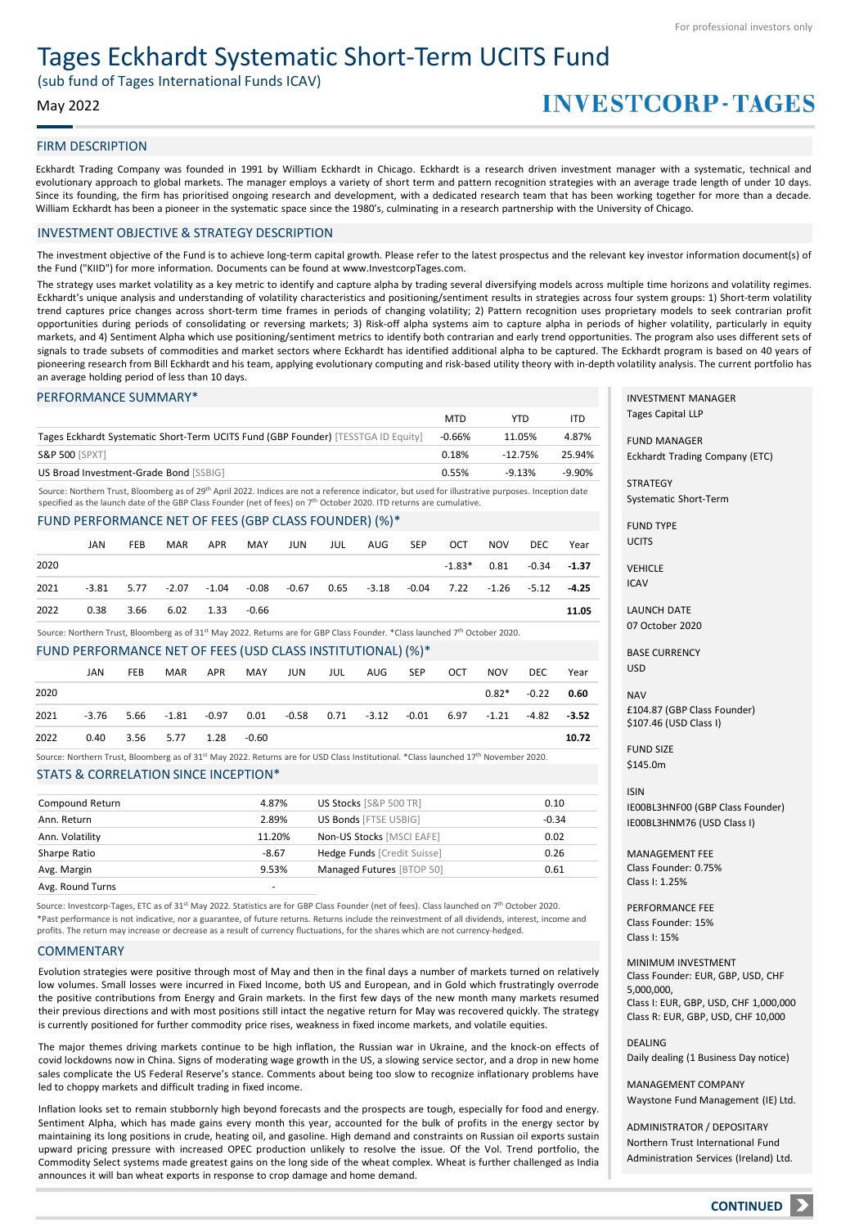# Tages Eckhardt Systematic Short-Term UCITS Fund

(sub fund of Tages International Funds ICAV)

## May 2022

# **INVESTCORP-TAGES**

### FIRM DESCRIPTION

Eckhardt Trading Company was founded in 1991 by William Eckhardt in Chicago. Eckhardt is a research driven investment manager with a systematic, technical and evolutionary approach to global markets. The manager employs a variety of short term and pattern recognition strategies with an average trade length of under 10 days. Since its founding, the firm has prioritised ongoing research and development, with a dedicated research team that has been working together for more than a decade. William Eckhardt has been a pioneer in the systematic space since the 1980's, culminating in a research partnership with the University of Chicago.

## INVESTMENT OBJECTIVE & STRATEGY DESCRIPTION

The investment objective of the Fund is to achieve long-term capital growth. Please refer to the latest prospectus and the relevant key investor information document(s) of the Fund ("KIID") for more information. Documents can be found at www.InvestcorpTages.com.

The strategy uses market volatility as a key metric to identify and capture alpha by trading several diversifying models across multiple time horizons and volatility regimes. Eckhardt's unique analysis and understanding of volatility characteristics and positioning/sentiment results in strategies across four system groups: 1) Short-term volatility trend captures price changes across short-term time frames in periods of changing volatility; 2) Pattern recognition uses proprietary models to seek contrarian profit opportunities during periods of consolidating or reversing markets; 3) Risk-off alpha systems aim to capture alpha in periods of higher volatility, particularly in equity markets, and 4) Sentiment Alpha which use positioning/sentiment metrics to identify both contrarian and early trend opportunities. The program also uses different sets of signals to trade subsets of commodities and market sectors where Eckhardt has identified additional alpha to be captured. The Eckhardt program is based on 40 years of pioneering research from Bill Eckhardt and his team, applying evolutionary computing and risk-based utility theory with in-depth volatility analysis. The current portfolio has an average holding period of less than 10 days.

#### PERFORMANCE SUMMARY\*

|                                                                                   | <b>MTD</b> | YTD       | ITD      |
|-----------------------------------------------------------------------------------|------------|-----------|----------|
| Tages Eckhardt Systematic Short-Term UCITS Fund (GBP Founder) [TESSTGA ID Equity] | $-0.66%$   | 11.05%    | 4.87%    |
| <b>S&amp;P 500 [SPXT]</b>                                                         | 0.18%      | $-12.75%$ | 25.94%   |
| US Broad Investment-Grade Bond [SSBIG]                                            | 0.55%      | $-9.13%$  | $-9.90%$ |

Source: Northern Trust, Bloomberg as of 29<sup>th</sup> April 2022. Indices are not a reference indicator, but used for illustrative purposes. Inception date specified as the launch date of the GBP Class Founder (net of fees) on 7<sup>th</sup> October 2020. ITD returns are cumulative.

#### FUND PERFORMANCE NET OF FEES (GBP CLASS FOUNDER) (%)\*

|      | JAN  | FEB  | <b>MAR</b>                             | <b>APR</b> | MAY     | JUN | JUL | AUG | SEP | <b>OCT</b>             | <b>NOV</b>    | DEC       | Year    |
|------|------|------|----------------------------------------|------------|---------|-----|-----|-----|-----|------------------------|---------------|-----------|---------|
| 2020 |      |      |                                        |            |         |     |     |     |     |                        | $-1.83*$ 0.81 | $-0.34 -$ | $-1.37$ |
| 2021 |      |      | $-3.81$ $5.77$ $-2.07$ $-1.04$ $-0.08$ |            |         |     |     |     |     | -0.04 7.22 -1.26 -5.12 |               |           | $-4.25$ |
| 2022 | 0.38 | 3.66 | 6.02                                   | 1.33       | $-0.66$ |     |     |     |     |                        |               |           | 11.05   |

Source: Northern Trust, Bloomberg as of 31st May 2022. Returns are for GBP Class Founder. \*Class launched 7th October 2020.

### FUND PERFORMANCE NET OF FEES (USD CLASS INSTITUTIONAL) (%)\*

|      | JAN                                                                                                                                                         | <b>FEB</b> | <b>MAR</b> | <b>APR</b> | MAY   | <b>JUN</b> | JUL  | AUG     | <b>SEP</b> | <b>OCT</b> | <b>NOV</b> | DEC.    | Year    |
|------|-------------------------------------------------------------------------------------------------------------------------------------------------------------|------------|------------|------------|-------|------------|------|---------|------------|------------|------------|---------|---------|
| 2020 |                                                                                                                                                             |            |            |            |       |            |      |         |            |            | $0.82*$    | $-0.22$ | 0.60    |
| 2021 | $-3.76$                                                                                                                                                     | 5.66       | -1.81      | $-0.97$    | 0.01  | -0.58      | 0.71 | $-3.12$ | -0.01      | 6.97       | $-1.21$    | $-4.82$ | $-3.52$ |
| 2022 | 0.40                                                                                                                                                        | 3.56       | 5.77       | 1.28       | -0.60 |            |      |         |            |            |            |         | 10.72   |
|      | Source: Northern Trust, Bloomberg as of 31 <sup>st</sup> May 2022. Returns are for USD Class Institutional. *Class launched 17 <sup>th</sup> November 2020. |            |            |            |       |            |      |         |            |            |            |         |         |

STATS & CORRELATION SINCE INCEPTION\*

| Compound Return  | 4.87%   | US Stocks [S&P 500 TR]      | 0.10    |
|------------------|---------|-----------------------------|---------|
| Ann. Return      | 2.89%   | US Bonds [FTSE USBIG]       | $-0.34$ |
| Ann. Volatility  | 11.20%  | Non-US Stocks [MSCI EAFE]   | 0.02    |
| Sharpe Ratio     | $-8.67$ | Hedge Funds [Credit Suisse] | 0.26    |
| Avg. Margin      | 9.53%   | Managed Futures [BTOP 50]   | 0.61    |
| Avg. Round Turns | -       |                             |         |

Source: Investcorp-Tages, ETC as of 31st May 2022, Statistics are for GBP Class Founder (net of fees). Class launched on 7<sup>th</sup> October 2020. \*Past performance is not indicative, nor a guarantee, of future returns. Returns include the reinvestment of all dividends, interest, income and profits. The return may increase or decrease as a result of currency fluctuations, for the shares which are not currency-hedged.

#### **COMMENTARY**

Evolution strategies were positive through most of May and then in the final days a number of markets turned on relatively low volumes. Small losses were incurred in Fixed Income, both US and European, and in Gold which frustratingly overrode the positive contributions from Energy and Grain markets. In the first few days of the new month many markets resumed their previous directions and with most positions still intact the negative return for May was recovered quickly. The strategy is currently positioned for further commodity price rises, weakness in fixed income markets, and volatile equities.

The major themes driving markets continue to be high inflation, the Russian war in Ukraine, and the knock-on effects of covid lockdowns now in China. Signs of moderating wage growth in the US, a slowing service sector, and a drop in new home sales complicate the US Federal Reserve's stance. Comments about being too slow to recognize inflationary problems have led to choppy markets and difficult trading in fixed income.

Inflation looks set to remain stubbornly high beyond forecasts and the prospects are tough, especially for food and energy. Sentiment Alpha, which has made gains every month this year, accounted for the bulk of profits in the energy sector by maintaining its long positions in crude, heating oil, and gasoline. High demand and constraints on Russian oil exports sustain upward pricing pressure with increased OPEC production unlikely to resolve the issue. Of the Vol. Trend portfolio, the Commodity Select systems made greatest gains on the long side of the wheat complex. Wheat is further challenged as India announces it will ban wheat exports in response to crop damage and home demand.

INVESTMENT MANAGER Tages Capital LLP

FUND MANAGER Eckhardt Trading Company (ETC)

STRATEGY Systematic Short-Term

FUND TYPE UCITS

VEHICLE ICAV

LAUNCH DATE

07 October 2020

BASE CURRENCY USD

**NAV** £104.87 (GBP Class Founder) \$107.46 (USD Class I)

FUND SIZE \$145.0m

#### ISIN IE00BL3HNF00 (GBP Class Founder) IE00BL3HNM76 (USD Class I)

MANAGEMENT FEE Class Founder: 0.75% Class I: 1.25%

PERFORMANCE FEE Class Founder: 15% Class I: 15%

MINIMUM INVESTMENT Class Founder: EUR, GBP, USD, CHF 5,000,000, Class I: EUR, GBP, USD, CHF 1,000,000 Class R: EUR, GBP, USD, CHF 10,000

DEALING Daily dealing (1 Business Day notice)

MANAGEMENT COMPANY Waystone Fund Management (IE) Ltd.

ADMINISTRATOR / DEPOSITARY Northern Trust International Fund Administration Services (Ireland) Ltd.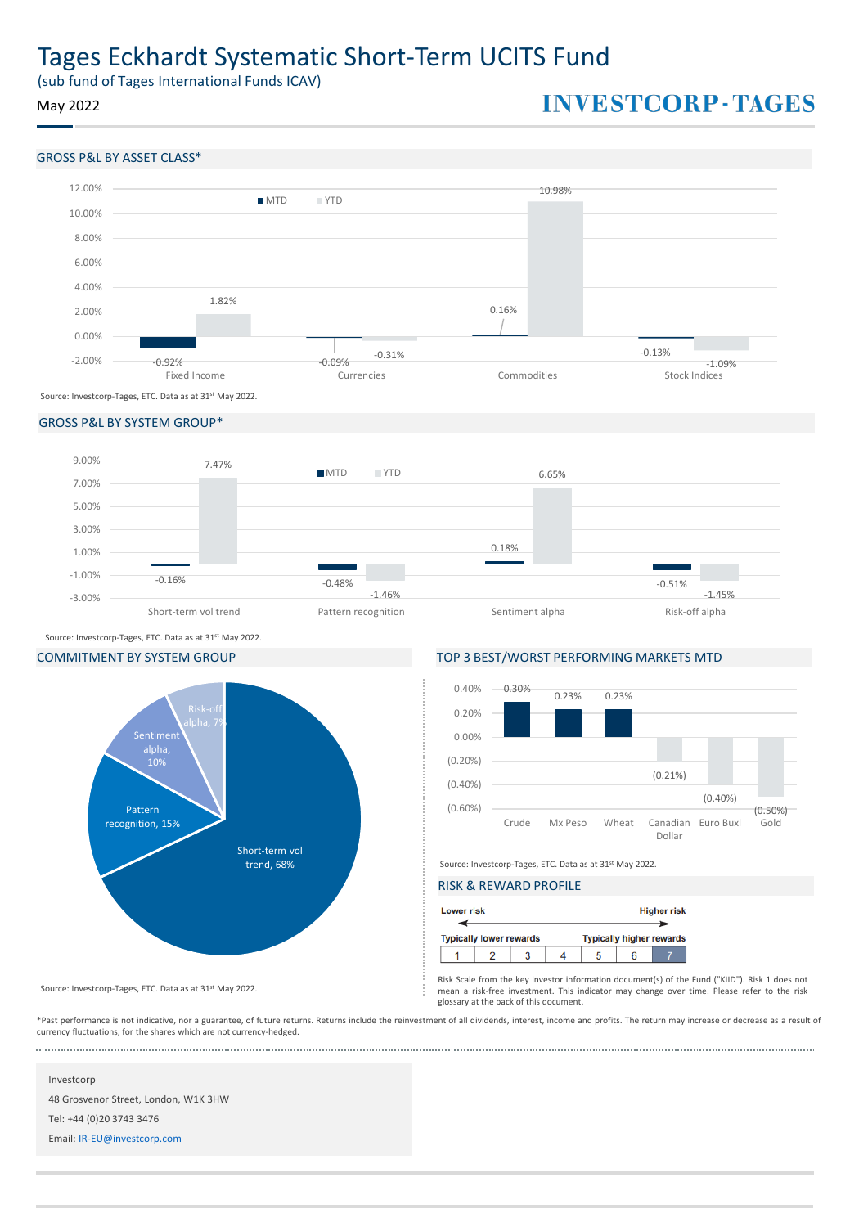(sub fund of Tages International Funds ICAV)

May 2022

# **INVESTCORP-TAGES**

# GROSS P&L BY ASSET CLASS\*



Source: Investcorp-Tages, ETC. Data as at 31st May 2022.

## GROSS P&L BY SYSTEM GROUP\*





COMMITMENT BY SYSTEM GROUP TOP 3 BEST/WORST PERFORMING MARKETS MTD



Source: Investcorp-Tages, ETC. Data as at 31st May 2022.

# RISK & REWARD PROFILE

| <b>Lower risk</b> |                                |  |  | <b>Higher risk</b> |                                 |
|-------------------|--------------------------------|--|--|--------------------|---------------------------------|
|                   |                                |  |  |                    |                                 |
|                   | <b>Typically lower rewards</b> |  |  |                    | <b>Typically higher rewards</b> |
|                   |                                |  |  |                    |                                 |

Risk Scale from the key investor information document(s) of the Fund ("KIID"). Risk 1 does not mean a risk-free investment. This indicator may change over time. Please refer to the risk glossary at the back of this document.

\*Past performance is not indicative, nor a guarantee, of future returns. Returns include the reinvestment of all dividends, interest, income and profits. The return may increase or decrease as a result of currency fluctuations, for the shares which are not currency-hedged. 

#### Investcorp

48 Grosvenor Street, London, W1K 3HW

Source: Investcorp-Tages, ETC. Data as at 31st May 2022.

Tel: +44 (0)20 3743 3476

Email: [IR-EU@investcorp.com](mailto:IR-EU@investcorp.com)